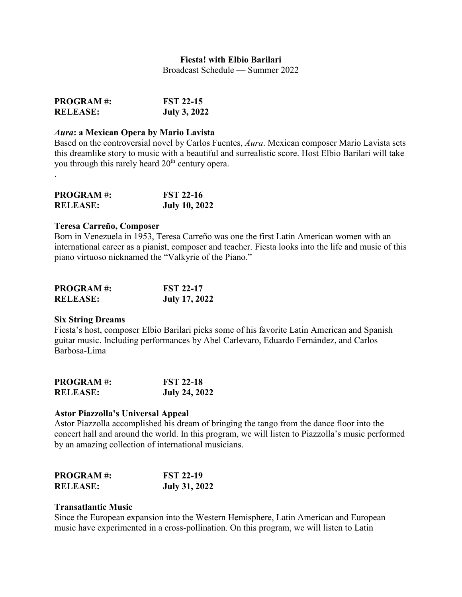# **Fiesta! with Elbio Barilari**

Broadcast Schedule — Summer 2022

| <b>PROGRAM#:</b> | <b>FST 22-15</b>    |
|------------------|---------------------|
| <b>RELEASE:</b>  | <b>July 3, 2022</b> |

# *Aura***: a Mexican Opera by Mario Lavista**

Based on the controversial novel by Carlos Fuentes, *Aura*. Mexican composer Mario Lavista sets this dreamlike story to music with a beautiful and surrealistic score. Host Elbio Barilari will take you through this rarely heard 20<sup>th</sup> century opera.

| <b>PROGRAM#:</b> | <b>FST 22-16</b>     |
|------------------|----------------------|
| <b>RELEASE:</b>  | <b>July 10, 2022</b> |

### **Teresa Carreño, Composer**

.

Born in Venezuela in 1953, Teresa Carreño was one the first Latin American women with an international career as a pianist, composer and teacher. Fiesta looks into the life and music of this piano virtuoso nicknamed the "Valkyrie of the Piano."

| <b>PROGRAM#:</b> | <b>FST 22-17</b>     |
|------------------|----------------------|
| <b>RELEASE:</b>  | <b>July 17, 2022</b> |

## **Six String Dreams**

Fiesta's host, composer Elbio Barilari picks some of his favorite Latin American and Spanish guitar music. Including performances by Abel Carlevaro, Eduardo Fernández, and Carlos Barbosa-Lima

| <b>PROGRAM#:</b> | <b>FST 22-18</b>     |
|------------------|----------------------|
| <b>RELEASE:</b>  | <b>July 24, 2022</b> |

## **Astor Piazzolla's Universal Appeal**

Astor Piazzolla accomplished his dream of bringing the tango from the dance floor into the concert hall and around the world. In this program, we will listen to Piazzolla's music performed by an amazing collection of international musicians.

| <b>PROGRAM#:</b> | <b>FST 22-19</b>     |
|------------------|----------------------|
| <b>RELEASE:</b>  | <b>July 31, 2022</b> |

# **Transatlantic Music**

Since the European expansion into the Western Hemisphere, Latin American and European music have experimented in a cross-pollination. On this program, we will listen to Latin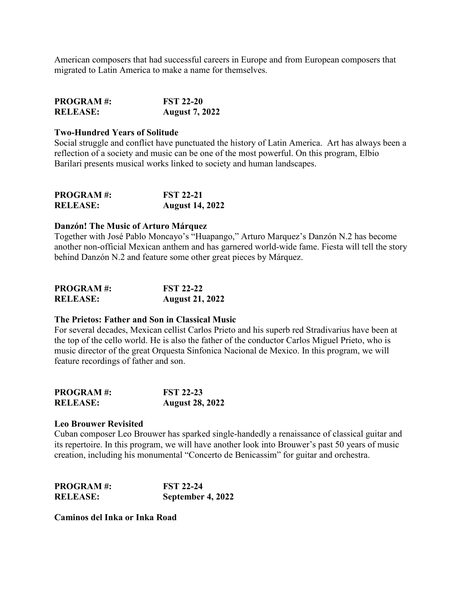American composers that had successful careers in Europe and from European composers that migrated to Latin America to make a name for themselves.

| <b>PROGRAM#:</b> | <b>FST 22-20</b>      |
|------------------|-----------------------|
| <b>RELEASE:</b>  | <b>August 7, 2022</b> |

## **Two-Hundred Years of Solitude**

Social struggle and conflict have punctuated the history of Latin America. Art has always been a reflection of a society and music can be one of the most powerful. On this program, Elbio Barilari presents musical works linked to society and human landscapes.

| <b>PROGRAM#:</b> | <b>FST 22-21</b>       |
|------------------|------------------------|
| <b>RELEASE:</b>  | <b>August 14, 2022</b> |

### **Danzón! The Music of Arturo Márquez**

Together with José Pablo Moncayo's "Huapango," Arturo Marquez's Danzón N.2 has become another non-official Mexican anthem and has garnered world-wide fame. Fiesta will tell the story behind Danzón N.2 and feature some other great pieces by Márquez.

| <b>PROGRAM#:</b> | <b>FST 22-22</b>       |
|------------------|------------------------|
| <b>RELEASE:</b>  | <b>August 21, 2022</b> |

# **The Prietos: Father and Son in Classical Music**

For several decades, Mexican cellist Carlos Prieto and his superb red Stradivarius have been at the top of the cello world. He is also the father of the conductor Carlos Miguel Prieto, who is music director of the great Orquesta Sinfonica Nacional de Mexico. In this program, we will feature recordings of father and son.

| <b>PROGRAM#:</b> | <b>FST 22-23</b>       |
|------------------|------------------------|
| <b>RELEASE:</b>  | <b>August 28, 2022</b> |

#### **Leo Brouwer Revisited**

Cuban composer Leo Brouwer has sparked single-handedly a renaissance of classical guitar and its repertoire. In this program, we will have another look into Brouwer's past 50 years of music creation, including his monumental "Concerto de Benicassim" for guitar and orchestra.

| <b>PROGRAM#:</b> | <b>FST 22-24</b>  |
|------------------|-------------------|
| <b>RELEASE:</b>  | September 4, 2022 |

**Caminos del Inka or Inka Road**